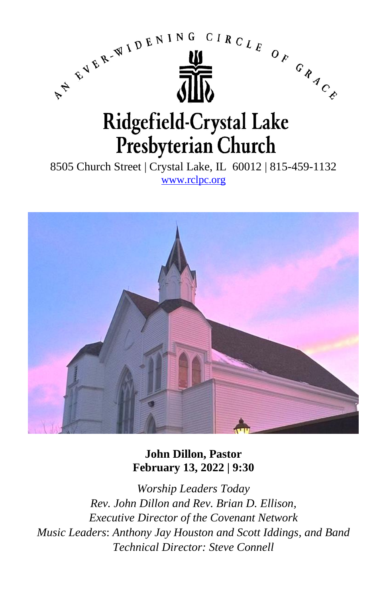

8505 Church Street | Crystal Lake, IL 60012 | 815-459-1132 [www.rclpc.org](http://www.rclpc.org/)



**John Dillon, Pastor February 13, 2022 | 9:30**

*Worship Leaders Today Rev. John Dillon and Rev. Brian D. Ellison, Executive Director of the Covenant Network Music Leaders*: *Anthony Jay Houston and Scott Iddings, and Band Technical Director: Steve Connell*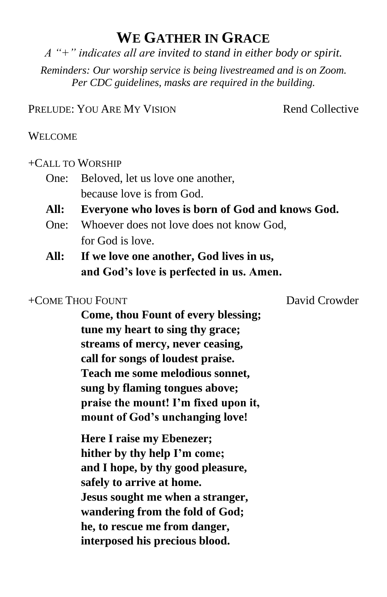# **WE GATHER IN GRACE**

*A "+" indicates all are invited to stand in either body or spirit.*

*Reminders: Our worship service is being livestreamed and is on Zoom. Per CDC guidelines, masks are required in the building.*

PRELUDE: YOU ARE MY VISION Rend Collective

## WELCOME

## +CALL TO WORSHIP

- One: Beloved, let us love one another, because love is from God.
- **All: Everyone who loves is born of God and knows God.**
- One: Whoever does not love does not know God, for God is love.
- **All: If we love one another, God lives in us, and God's love is perfected in us. Amen.**

## +COME THOU FOUNT David Crowder

**Come, thou Fount of every blessing; tune my heart to sing thy grace; streams of mercy, never ceasing, call for songs of loudest praise. Teach me some melodious sonnet, sung by flaming tongues above; praise the mount! I'm fixed upon it, mount of God's unchanging love!**

**Here I raise my Ebenezer; hither by thy help I'm come; and I hope, by thy good pleasure, safely to arrive at home. Jesus sought me when a stranger, wandering from the fold of God; he, to rescue me from danger, interposed his precious blood.**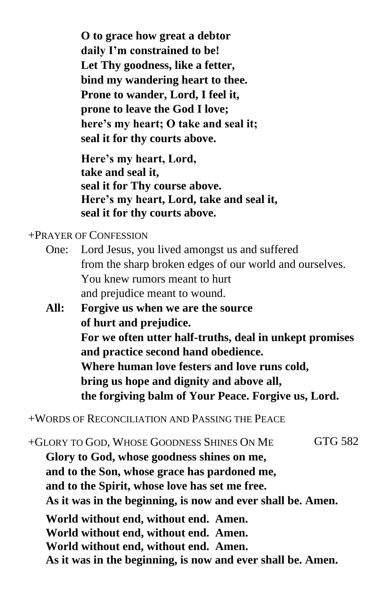**O to grace how great a debtor daily I'm constrained to be! Let Thy goodness, like a fetter, bind my wandering heart to thee. Prone to wander, Lord, I feel it, prone to leave the God I love; here's my heart; O take and seal it; seal it for thy courts above.**

**Here's my heart, Lord, take and seal it, seal it for Thy course above. Here's my heart, Lord, take and seal it, seal it for thy courts above.**

## +PRAYER OF CONFESSION

| One: Lord Jesus, you lived amongst us and suffered      |
|---------------------------------------------------------|
| from the sharp broken edges of our world and ourselves. |
| You knew rumors meant to hurt                           |
| and prejudice meant to wound.                           |

**All: Forgive us when we are the source of hurt and prejudice. For we often utter half-truths, deal in unkept promises and practice second hand obedience. Where human love festers and love runs cold, bring us hope and dignity and above all, the forgiving balm of Your Peace. Forgive us, Lord.**

+WORDS OF RECONCILIATION AND PASSING THE PEACE

| +GLORY TO GOD, WHOSE GOODNESS SHINES ON ME                  | <b>GTG 582</b> |
|-------------------------------------------------------------|----------------|
| Glory to God, whose goodness shines on me,                  |                |
| and to the Son, whose grace has pardoned me,                |                |
| and to the Spirit, whose love has set me free.              |                |
| As it was in the beginning, is now and ever shall be. Amen. |                |
| World without end, without end. Amen.                       |                |
| World without end, without end. Amen.                       |                |
| World without end, without end. Amen.                       |                |
| As it was in the beginning, is now and ever shall be. Amen. |                |
|                                                             |                |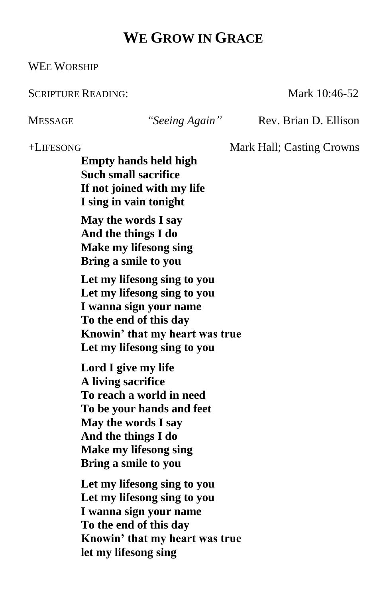# **WE GROW IN GRACE**

### WEE WORSHIP

#### SCRIPTURE READING: Mark 10:46-52

MESSAGE *"Seeing Again"* Rev. Brian D. Ellison

+LIFESONG Mark Hall; Casting Crowns

**Empty hands held high Such small sacrifice If not joined with my life I sing in vain tonight**

**May the words I say And the things I do Make my lifesong sing Bring a smile to you**

**Let my lifesong sing to you Let my lifesong sing to you I wanna sign your name To the end of this day Knowin' that my heart was true Let my lifesong sing to you**

**Lord I give my life A living sacrifice To reach a world in need To be your hands and feet May the words I say And the things I do Make my lifesong sing Bring a smile to you**

**Let my lifesong sing to you Let my lifesong sing to you I wanna sign your name To the end of this day Knowin' that my heart was true let my lifesong sing**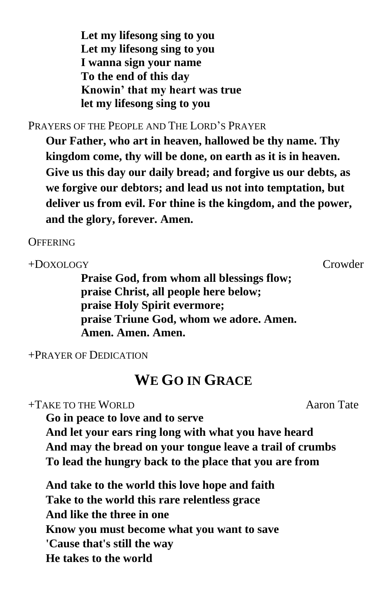**Let my lifesong sing to you Let my lifesong sing to you I wanna sign your name To the end of this day Knowin' that my heart was true let my lifesong sing to you**

PRAYERS OF THE PEOPLE AND THE LORD'S PRAYER

**Our Father, who art in heaven, hallowed be thy name. Thy kingdom come, thy will be done, on earth as it is in heaven. Give us this day our daily bread; and forgive us our debts, as we forgive our debtors; and lead us not into temptation, but deliver us from evil. For thine is the kingdom, and the power, and the glory, forever. Amen.**

**OFFERING** 

+DOXOLOGY Crowder **Praise God, from whom all blessings flow; praise Christ, all people here below; praise Holy Spirit evermore; praise Triune God, whom we adore. Amen. Amen. Amen. Amen.**

+PRAYER OF DEDICATION

# **WE GO IN GRACE**

+TAKE TO THE WORLD Aaron Tate **Go in peace to love and to serve And let your ears ring long with what you have heard And may the bread on your tongue leave a trail of crumbs To lead the hungry back to the place that you are from**

**And take to the world this love hope and faith Take to the world this rare relentless grace And like the three in one Know you must become what you want to save 'Cause that's still the way He takes to the world**